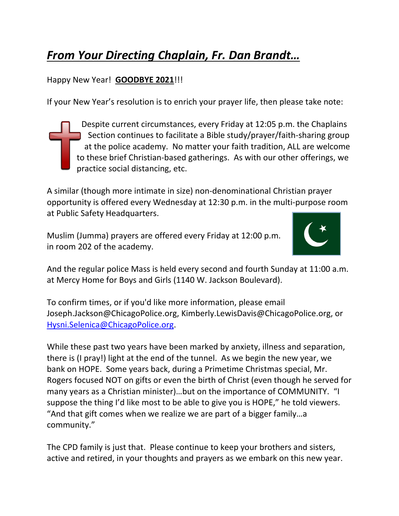## *From Your Directing Chaplain, Fr. Dan Brandt…*

## Happy New Year! **GOODBYE 2021**!!!

If your New Year's resolution is to enrich your prayer life, then please take note:

Despite current circumstances, every Friday at 12:05 p.m. the Chaplains Section continues to facilitate a Bible study/prayer/faith-sharing group at the police academy. No matter your faith tradition, ALL are welcome to these brief Christian-based gatherings. As with our other offerings, we practice social distancing, etc.

A similar (though more intimate in size) non-denominational Christian prayer opportunity is offered every Wednesday at 12:30 p.m. in the multi-purpose room at Public Safety Headquarters.

Muslim (Jumma) prayers are offered every Friday at 12:00 p.m. in room 202 of the academy.



And the regular police Mass is held every second and fourth Sunday at 11:00 a.m. at Mercy Home for Boys and Girls (1140 W. Jackson Boulevard).

To confirm times, or if you'd like more information, please email Joseph.Jackson@ChicagoPolice.org, Kimberly.LewisDavis@ChicagoPolice.org, or [Hysni.Selenica@ChicagoPolice.org.](mailto:Hysni.Selenica@ChicagoPolice.org)

While these past two years have been marked by anxiety, illness and separation, there is (I pray!) light at the end of the tunnel. As we begin the new year, we bank on HOPE. Some years back, during a Primetime Christmas special, Mr. Rogers focused NOT on gifts or even the birth of Christ (even though he served for many years as a Christian minister)…but on the importance of COMMUNITY. "I suppose the thing I'd like most to be able to give you is HOPE," he told viewers. "And that gift comes when we realize we are part of a bigger family…a community."

The CPD family is just that. Please continue to keep your brothers and sisters, active and retired, in your thoughts and prayers as we embark on this new year.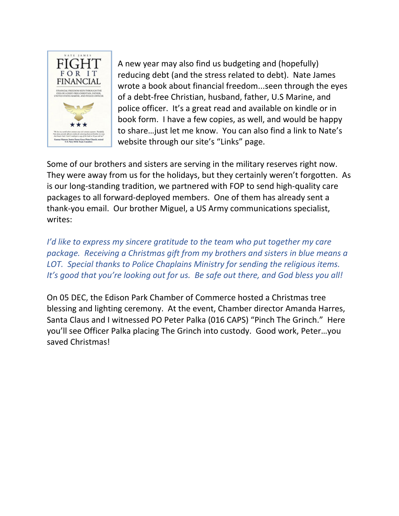

A new year may also find us budgeting and (hopefully) reducing debt (and the stress related to debt). Nate James wrote a book about financial freedom...seen through the eyes of a debt-free Christian, husband, father, U.S Marine, and police officer. It's a great read and available on kindle or in book form. I have a few copies, as well, and would be happy to share…just let me know. You can also find a link to Nate's website through our site's "Links" page.

Some of our brothers and sisters are serving in the military reserves right now. They were away from us for the holidays, but they certainly weren't forgotten. As is our long-standing tradition, we partnered with FOP to send high-quality care packages to all forward-deployed members. One of them has already sent a thank-you email. Our brother Miguel, a US Army communications specialist, writes:

*I'd like to express my sincere gratitude to the team who put together my care package. Receiving a Christmas gift from my brothers and sisters in blue means a LOT. Special thanks to Police Chaplains Ministry for sending the religious items. It's good that you're looking out for us. Be safe out there, and God bless you all!*

On 05 DEC, the Edison Park Chamber of Commerce hosted a Christmas tree blessing and lighting ceremony. At the event, Chamber director Amanda Harres, Santa Claus and I witnessed PO Peter Palka (016 CAPS) "Pinch The Grinch." Here you'll see Officer Palka placing The Grinch into custody. Good work, Peter…you saved Christmas!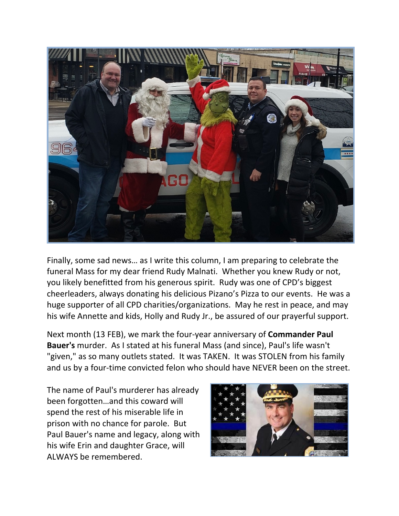

Finally, some sad news… as I write this column, I am preparing to celebrate the funeral Mass for my dear friend Rudy Malnati. Whether you knew Rudy or not, you likely benefitted from his generous spirit. Rudy was one of CPD's biggest cheerleaders, always donating his delicious Pizano's Pizza to our events. He was a huge supporter of all CPD charities/organizations. May he rest in peace, and may his wife Annette and kids, Holly and Rudy Jr., be assured of our prayerful support.

Next month (13 FEB), we mark the four-year anniversary of **Commander Paul Bauer's** murder. As I stated at his funeral Mass (and since), Paul's life wasn't "given," as so many outlets stated. It was TAKEN. It was STOLEN from his family and us by a four-time convicted felon who should have NEVER been on the street.

The name of Paul's murderer has already been forgotten…and this coward will spend the rest of his miserable life in prison with no chance for parole. But Paul Bauer's name and legacy, along with his wife Erin and daughter Grace, will ALWAYS be remembered.